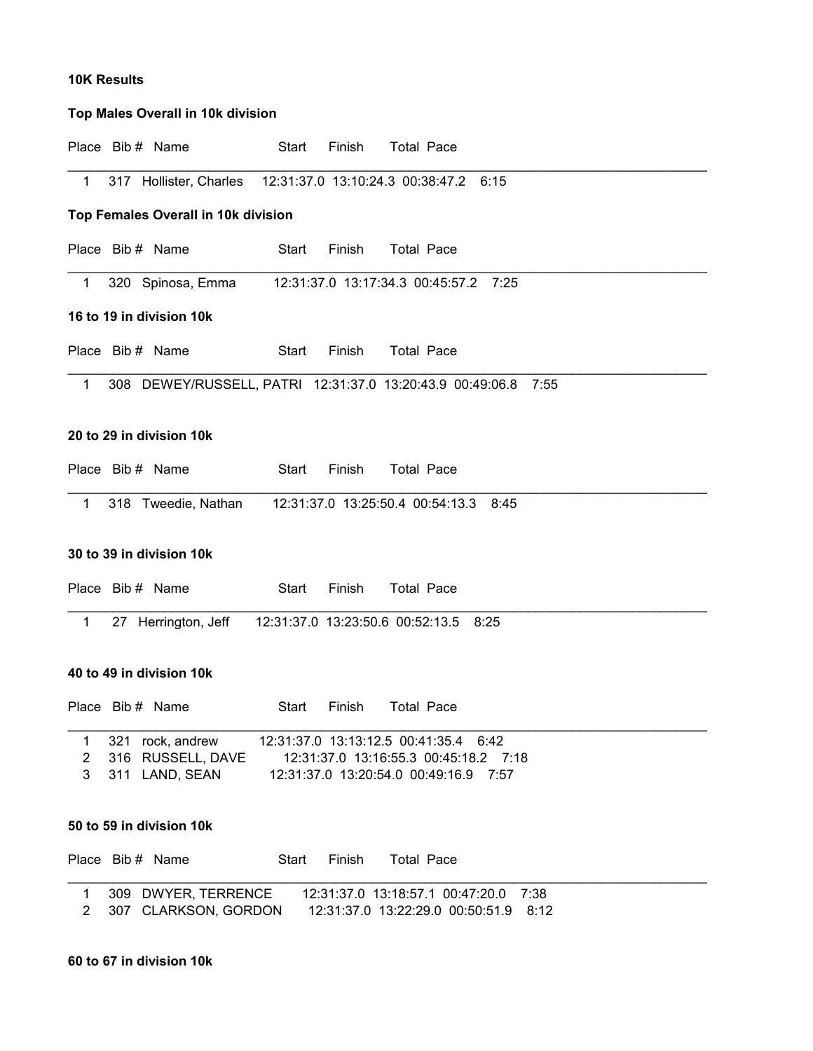## **10K Results**

|                | Top Males Overall in 10k division                                |       |        |                                       |      |      |  |
|----------------|------------------------------------------------------------------|-------|--------|---------------------------------------|------|------|--|
|                | Place Bib# Name                                                  | Start | Finish | <b>Total Pace</b>                     |      |      |  |
| $\overline{1}$ | 317 Hollister, Charles  12:31:37.0  13:10:24.3  00:38:47.2  6:15 |       |        |                                       |      |      |  |
|                | Top Females Overall in 10k division                              |       |        |                                       |      |      |  |
|                | Place Bib# Name                                                  | Start | Finish | <b>Total Pace</b>                     |      |      |  |
| $\overline{1}$ | 320 Spinosa, Emma                                                |       |        | 12:31:37.0 13:17:34.3 00:45:57.2 7:25 |      |      |  |
|                | 16 to 19 in division 10k                                         |       |        |                                       |      |      |  |
|                | Place Bib # Name                                                 | Start | Finish | <b>Total Pace</b>                     |      |      |  |
| $\mathbf{1}$   | 308 DEWEY/RUSSELL, PATRI 12:31:37.0 13:20:43.9 00:49:06.8 7:55   |       |        |                                       |      |      |  |
|                | 20 to 29 in division 10k                                         |       |        |                                       |      |      |  |
|                |                                                                  |       |        |                                       |      |      |  |
|                | Place Bib # Name                                                 | Start | Finish | <b>Total Pace</b>                     |      |      |  |
| $\mathbf{1}$   | 318 Tweedie, Nathan                                              |       |        | 12:31:37.0 13:25:50.4 00:54:13.3 8:45 |      |      |  |
|                |                                                                  |       |        |                                       |      |      |  |
|                | 30 to 39 in division 10k                                         |       |        |                                       |      |      |  |
|                | Place Bib # Name                                                 | Start | Finish | <b>Total Pace</b>                     |      |      |  |
| $\mathbf{1}$   | 27 Herrington, Jeff                                              |       |        | 12:31:37.0 13:23:50.6 00:52:13.5      | 8:25 |      |  |
|                | 40 to 49 in division 10k                                         |       |        |                                       |      |      |  |
|                |                                                                  |       |        |                                       |      |      |  |
|                | Place Bib # Name                                                 | Start | Finish | <b>Total Pace</b>                     |      |      |  |
| 1              | 321 rock, andrew                                                 |       |        | 12:31:37.0 13:13:12.5 00:41:35.4      | 6:42 |      |  |
| $\overline{2}$ | 316 RUSSELL, DAVE                                                |       |        | 12:31:37.0 13:16:55.3 00:45:18.2 7:18 |      |      |  |
| 3              | 311 LAND, SEAN                                                   |       |        | 12:31:37.0 13:20:54.0 00:49:16.9      | 7:57 |      |  |
|                | 50 to 59 in division 10k                                         |       |        |                                       |      |      |  |
|                | Place Bib # Name                                                 | Start | Finish | <b>Total Pace</b>                     |      |      |  |
| $\mathbf{1}$   | 309 DWYER, TERRENCE                                              |       |        | 12:31:37.0 13:18:57.1 00:47:20.0      |      | 7:38 |  |
| 2              | 307 CLARKSON, GORDON                                             |       |        | 12:31:37.0 13:22:29.0 00:50:51.9      |      | 8:12 |  |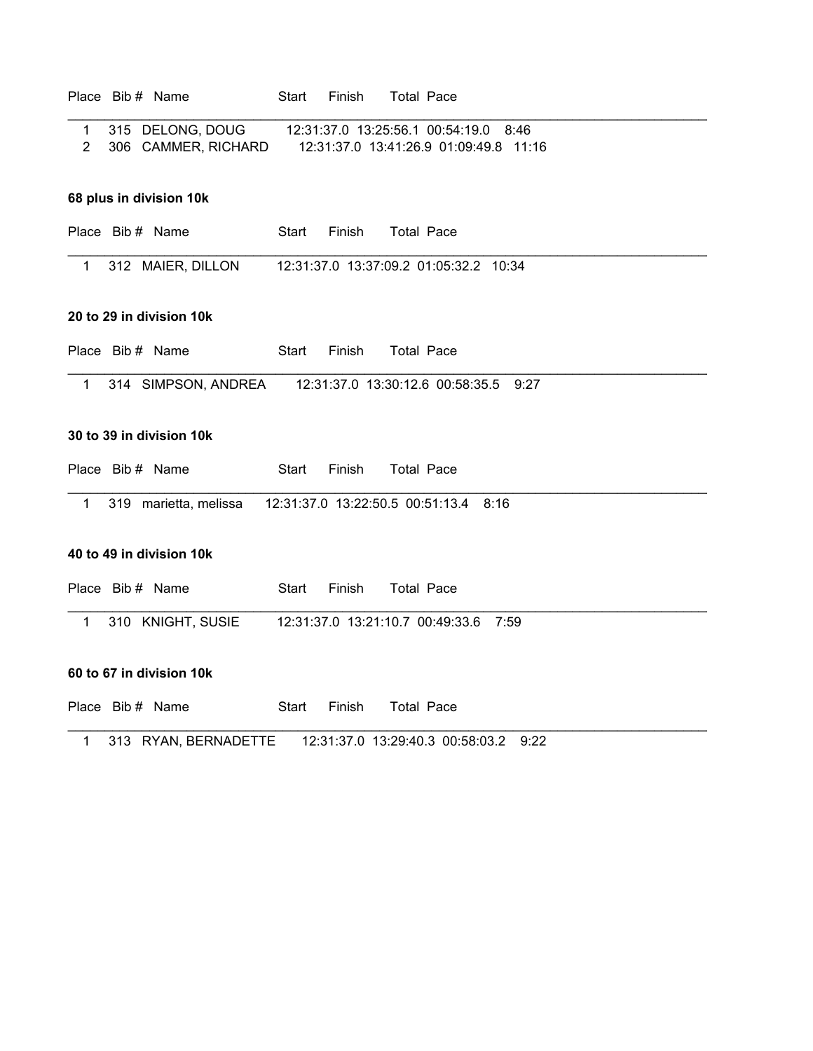|                | Place Bib # Name                        | <b>Total Pace</b><br>Start<br>Finish                                               |  |
|----------------|-----------------------------------------|------------------------------------------------------------------------------------|--|
| 1<br>2         | 315 DELONG, DOUG<br>306 CAMMER, RICHARD | 12:31:37.0 13:25:56.1 00:54:19.0<br>8:46<br>12:31:37.0 13:41:26.9 01:09:49.8 11:16 |  |
|                | 68 plus in division 10k                 |                                                                                    |  |
|                | Place Bib # Name                        | <b>Total Pace</b><br>Start<br>Finish                                               |  |
| $\overline{1}$ | 312 MAIER, DILLON                       | 12:31:37.0 13:37:09.2 01:05:32.2 10:34                                             |  |
|                | 20 to 29 in division 10k                |                                                                                    |  |
|                | Place Bib # Name                        | <b>Total Pace</b><br>Start<br>Finish                                               |  |
| $\mathbf{1}$   | 314 SIMPSON, ANDREA                     | 12:31:37.0 13:30:12.6 00:58:35.5<br>9:27                                           |  |
|                | 30 to 39 in division 10k                |                                                                                    |  |
|                | Place Bib # Name                        | <b>Total Pace</b><br>Start<br>Finish                                               |  |
| $\mathbf{1}$   | 319 marietta, melissa                   | 12:31:37.0 13:22:50.5 00:51:13.4 8:16                                              |  |
|                | 40 to 49 in division 10k                |                                                                                    |  |
|                | Place Bib # Name                        | <b>Total Pace</b><br>Start<br>Finish                                               |  |
| $\overline{1}$ | 310 KNIGHT, SUSIE                       | 12:31:37.0 13:21:10.7 00:49:33.6<br>7:59                                           |  |
|                | 60 to 67 in division 10k                |                                                                                    |  |
|                | Place Bib # Name                        | <b>Total Pace</b><br>Start<br>Finish                                               |  |
| $\overline{1}$ | 313 RYAN, BERNADETTE                    | 12:31:37.0 13:29:40.3 00:58:03.2 9:22                                              |  |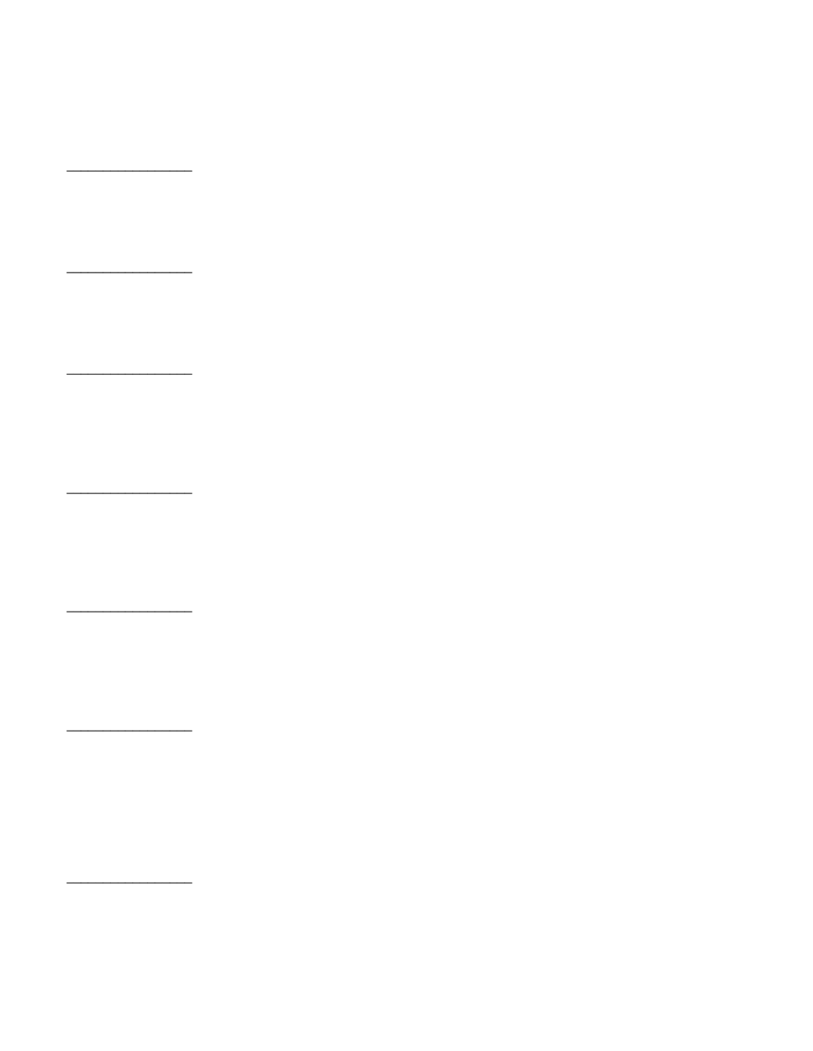$\overline{\phantom{0}}$